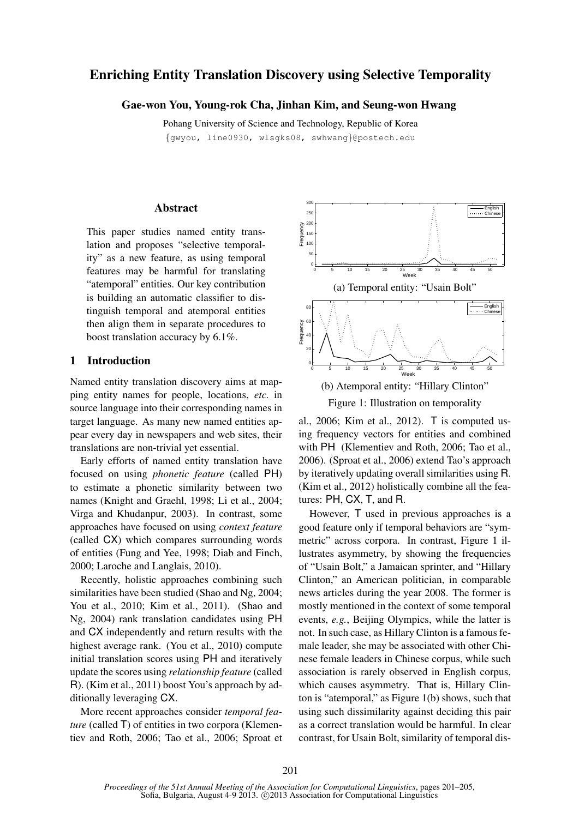# Enriching Entity Translation Discovery using Selective Temporality

# Gae-won You, Young-rok Cha, Jinhan Kim, and Seung-won Hwang

Pohang University of Science and Technology, Republic of Korea {gwyou, line0930, wlsgks08, swhwang}@postech.edu

### Abstract

This paper studies named entity translation and proposes "selective temporality" as a new feature, as using temporal features may be harmful for translating "atemporal" entities. Our key contribution is building an automatic classifier to distinguish temporal and atemporal entities then align them in separate procedures to boost translation accuracy by 6.1%.

# 1 Introduction

Named entity translation discovery aims at mapping entity names for people, locations, *etc.* in source language into their corresponding names in target language. As many new named entities appear every day in newspapers and web sites, their translations are non-trivial yet essential.

Early efforts of named entity translation have focused on using *phonetic feature* (called PH) to estimate a phonetic similarity between two names (Knight and Graehl, 1998; Li et al., 2004; Virga and Khudanpur, 2003). In contrast, some approaches have focused on using *context feature* (called CX) which compares surrounding words of entities (Fung and Yee, 1998; Diab and Finch, 2000; Laroche and Langlais, 2010).

Recently, holistic approaches combining such similarities have been studied (Shao and Ng, 2004; You et al., 2010; Kim et al., 2011). (Shao and Ng, 2004) rank translation candidates using PH and CX independently and return results with the highest average rank. (You et al., 2010) compute initial translation scores using PH and iteratively update the scores using *relationship feature* (called R). (Kim et al., 2011) boost You's approach by additionally leveraging CX.

More recent approaches consider *temporal feature* (called T) of entities in two corpora (Klementiev and Roth, 2006; Tao et al., 2006; Sproat et



Figure 1: Illustration on temporality

al., 2006; Kim et al., 2012). T is computed using frequency vectors for entities and combined with PH (Klementiev and Roth, 2006; Tao et al., 2006). (Sproat et al., 2006) extend Tao's approach by iteratively updating overall similarities using R. (Kim et al., 2012) holistically combine all the features: PH, CX, T, and R.

However, T used in previous approaches is a good feature only if temporal behaviors are "symmetric" across corpora. In contrast, Figure 1 illustrates asymmetry, by showing the frequencies of "Usain Bolt," a Jamaican sprinter, and "Hillary Clinton," an American politician, in comparable news articles during the year 2008. The former is mostly mentioned in the context of some temporal events, *e.g.*, Beijing Olympics, while the latter is not. In such case, as Hillary Clinton is a famous female leader, she may be associated with other Chinese female leaders in Chinese corpus, while such association is rarely observed in English corpus, which causes asymmetry. That is, Hillary Clinton is "atemporal," as Figure 1(b) shows, such that using such dissimilarity against deciding this pair as a correct translation would be harmful. In clear contrast, for Usain Bolt, similarity of temporal dis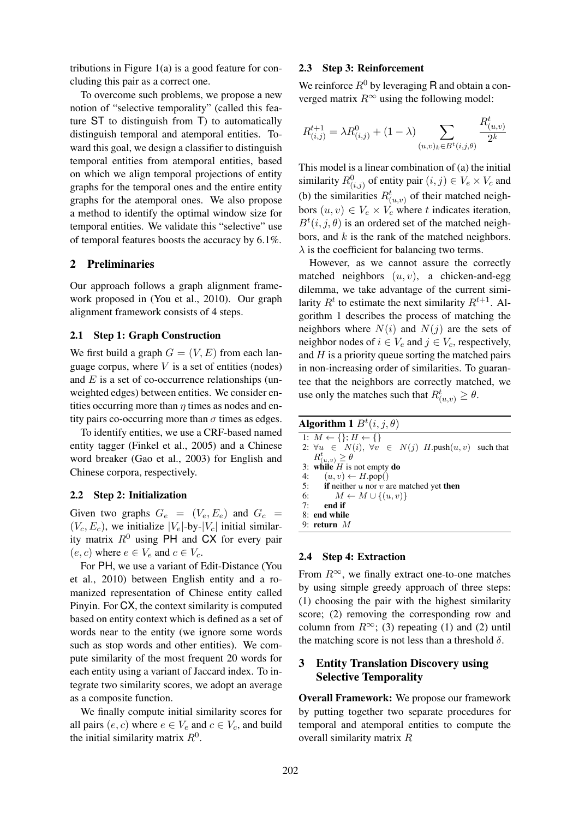tributions in Figure 1(a) is a good feature for concluding this pair as a correct one.

To overcome such problems, we propose a new notion of "selective temporality" (called this feature ST to distinguish from T) to automatically distinguish temporal and atemporal entities. Toward this goal, we design a classifier to distinguish temporal entities from atemporal entities, based on which we align temporal projections of entity graphs for the temporal ones and the entire entity graphs for the atemporal ones. We also propose a method to identify the optimal window size for temporal entities. We validate this "selective" use of temporal features boosts the accuracy by 6.1%.

## 2 Preliminaries

Our approach follows a graph alignment framework proposed in (You et al., 2010). Our graph alignment framework consists of 4 steps.

### 2.1 Step 1: Graph Construction

We first build a graph  $G = (V, E)$  from each language corpus, where  $V$  is a set of entities (nodes) and  $E$  is a set of co-occurrence relationships (unweighted edges) between entities. We consider entities occurring more than  $\eta$  times as nodes and entity pairs co-occurring more than  $\sigma$  times as edges.

To identify entities, we use a CRF-based named entity tagger (Finkel et al., 2005) and a Chinese word breaker (Gao et al., 2003) for English and Chinese corpora, respectively.

### 2.2 Step 2: Initialization

Given two graphs  $G_e = (V_e, E_e)$  and  $G_c$  =  $(V_c, E_c)$ , we initialize  $|V_e|$ -by- $|V_c|$  initial similarity matrix  $R^0$  using PH and CX for every pair  $(e, c)$  where  $e \in V_e$  and  $c \in V_c$ .

For PH, we use a variant of Edit-Distance (You et al., 2010) between English entity and a romanized representation of Chinese entity called Pinyin. For CX, the context similarity is computed based on entity context which is defined as a set of words near to the entity (we ignore some words such as stop words and other entities). We compute similarity of the most frequent 20 words for each entity using a variant of Jaccard index. To integrate two similarity scores, we adopt an average as a composite function.

We finally compute initial similarity scores for all pairs  $(e, c)$  where  $e \in V_e$  and  $c \in V_c$ , and build the initial similarity matrix  $R^0$ .

### 2.3 Step 3: Reinforcement

We reinforce  $R^0$  by leveraging R and obtain a converged matrix  $R^{\infty}$  using the following model:

$$
R_{(i,j)}^{t+1} = \lambda R_{(i,j)}^0 + (1 - \lambda) \sum_{(u,v)_k \in B^t(i,j,\theta)} \frac{R_{(u,v)}^t}{2^k}
$$

This model is a linear combination of (a) the initial similarity  $R^0_{(i,j)}$  of entity pair  $(i,j) \in V_e \times V_c$  and (b) the similarities  $R^t_{(u,v)}$  of their matched neighbors  $(u, v) \in V_e \times V_c$  where t indicates iteration,  $B<sup>t</sup>(i, j, \theta)$  is an ordered set of the matched neighbors, and  $k$  is the rank of the matched neighbors.  $\lambda$  is the coefficient for balancing two terms.

However, as we cannot assure the correctly matched neighbors  $(u, v)$ , a chicken-and-egg dilemma, we take advantage of the current similarity  $R<sup>t</sup>$  to estimate the next similarity  $R<sup>t+1</sup>$ . Algorithm 1 describes the process of matching the neighbors where  $N(i)$  and  $N(j)$  are the sets of neighbor nodes of  $i \in V_e$  and  $j \in V_c$ , respectively, and  $H$  is a priority queue sorting the matched pairs in non-increasing order of similarities. To guarantee that the neighbors are correctly matched, we use only the matches such that  $R^t_{(u,v)} \geq \theta$ .

| <b>Algorithm 1</b> $B^{t}(i, j, \theta)$                              |
|-----------------------------------------------------------------------|
| 1: $M \leftarrow \{\}; H \leftarrow \{\}$                             |
| 2: $\forall u \in N(i), \forall v \in N(j)$ H.push $(u, v)$ such that |
| $R^t_{(u,v)} \geq \theta$                                             |
| 3: while $H$ is not empty do                                          |
| 4: $(u, v) \leftarrow H.pop()$                                        |
| 5: if neither $u$ nor $v$ are matched yet then                        |
| 6:<br>$M \leftarrow M \cup \{(u, v)\}\$                               |
| 7:<br>end if                                                          |
| 8: end while                                                          |
| 9: return $M$                                                         |
|                                                                       |

## 2.4 Step 4: Extraction

From  $R^{\infty}$ , we finally extract one-to-one matches by using simple greedy approach of three steps: (1) choosing the pair with the highest similarity score; (2) removing the corresponding row and column from  $R^{\infty}$ ; (3) repeating (1) and (2) until the matching score is not less than a threshold  $\delta$ .

# 3 Entity Translation Discovery using Selective Temporality

Overall Framework: We propose our framework by putting together two separate procedures for temporal and atemporal entities to compute the overall similarity matrix R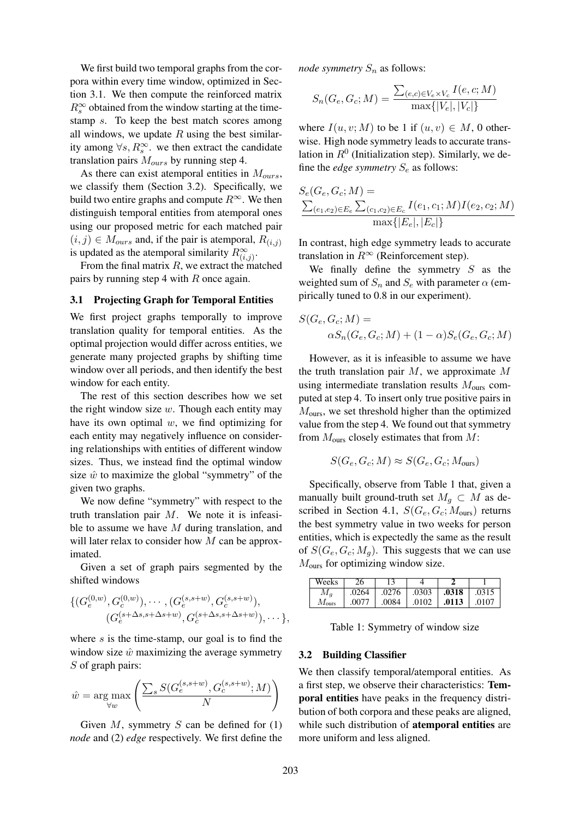We first build two temporal graphs from the corpora within every time window, optimized in Section 3.1. We then compute the reinforced matrix  $R_s^{\infty}$  obtained from the window starting at the timestamp s. To keep the best match scores among all windows, we update  $R$  using the best similarity among  $\forall s, R_s^{\infty}$ . we then extract the candidate translation pairs  $M_{ours}$  by running step 4.

As there can exist atemporal entities in  $M_{ours}$ , we classify them (Section 3.2). Specifically, we build two entire graphs and compute  $R^{\infty}$ . We then distinguish temporal entities from atemporal ones using our proposed metric for each matched pair  $(i, j) \in M_{ours}$  and, if the pair is atemporal,  $R_{(i,j)}$ is updated as the atemporal similarity  $R^{\infty}_{(i,j)}$ .

From the final matrix  $R$ , we extract the matched pairs by running step 4 with  $R$  once again.

#### 3.1 Projecting Graph for Temporal Entities

We first project graphs temporally to improve translation quality for temporal entities. As the optimal projection would differ across entities, we generate many projected graphs by shifting time window over all periods, and then identify the best window for each entity.

The rest of this section describes how we set the right window size  $w$ . Though each entity may have its own optimal  $w$ , we find optimizing for each entity may negatively influence on considering relationships with entities of different window sizes. Thus, we instead find the optimal window size  $\hat{w}$  to maximize the global "symmetry" of the given two graphs.

We now define "symmetry" with respect to the truth translation pair  $M$ . We note it is infeasible to assume we have  $M$  during translation, and will later relax to consider how M can be approximated.

Given a set of graph pairs segmented by the shifted windows

$$
\{ (G_e^{(0,w)}, G_c^{(0,w)}), \cdots, (G_e^{(s,s+w)}, G_c^{(s,s+w)}),
$$
  

$$
(G_e^{(s+\Delta s,s+\Delta s+w)}, G_c^{(s+\Delta s,s+\Delta s+w)}), \cdots \},\
$$

where  $s$  is the time-stamp, our goal is to find the window size  $\hat{w}$  maximizing the average symmetry  $S$  of graph pairs:

$$
\hat{w} = \underset{\forall w}{\arg\max} \left( \frac{\sum_{s} S(G_e^{(s, s+w)}, G_c^{(s, s+w)}; M)}{N} \right)
$$

Given  $M$ , symmetry  $S$  can be defined for  $(1)$ *node* and (2) *edge* respectively. We first define the *node symmetry*  $S_n$  as follows:

$$
S_n(G_e, G_c; M) = \frac{\sum_{(e,c) \in V_e \times V_c} I(e, c; M)}{\max\{|V_e|, |V_c|\}}
$$

where  $I(u, v; M)$  to be 1 if  $(u, v) \in M$ , 0 otherwise. High node symmetry leads to accurate translation in  $R^0$  (Initialization step). Similarly, we define the *edge symmetry*  $S_e$  as follows:

$$
S_e(G_e, G_c; M) = \frac{\sum_{(e_1, e_2) \in E_e} \sum_{(c_1, c_2) \in E_c} I(e_1, c_1; M) I(e_2, c_2; M)}{\max\{|E_e|, |E_c|\}}
$$

In contrast, high edge symmetry leads to accurate translation in  $R^{\infty}$  (Reinforcement step).

We finally define the symmetry  $S$  as the weighted sum of  $S_n$  and  $S_e$  with parameter  $\alpha$  (empirically tuned to 0.8 in our experiment).

$$
S(G_e, G_c; M) =
$$
  
\n
$$
\alpha S_n(G_e, G_c; M) + (1 - \alpha) S_e(G_e, G_c; M)
$$

However, as it is infeasible to assume we have the truth translation pair  $M$ , we approximate  $M$ using intermediate translation results  $M_{\text{ours}}$  computed at step 4. To insert only true positive pairs in  $M<sub>ours</sub>$ , we set threshold higher than the optimized value from the step 4. We found out that symmetry from  $M_{\text{ours}}$  closely estimates that from  $M$ :

$$
S(G_e, G_c; M) \approx S(G_e, G_c; M_{\text{ours}})
$$

Specifically, observe from Table 1 that, given a manually built ground-truth set  $M_q \subset M$  as described in Section 4.1,  $S(G_e, G_c; M_{\text{ours}})$  returns the best symmetry value in two weeks for person entities, which is expectedly the same as the result of  $S(G_e, G_c; M_q)$ . This suggests that we can use  $M<sub>ours</sub>$  for optimizing window size.

| Weeks          | 26    |       |       |       |       |
|----------------|-------|-------|-------|-------|-------|
|                | .0264 | .0276 | .0303 | .0318 | .0315 |
| $M_{\rm ours}$ | 0077  | .0084 | .0102 | .0113 | .0107 |

Table 1: Symmetry of window size

#### 3.2 Building Classifier

We then classify temporal/atemporal entities. As a first step, we observe their characteristics: Temporal entities have peaks in the frequency distribution of both corpora and these peaks are aligned, while such distribution of **atemporal entities** are more uniform and less aligned.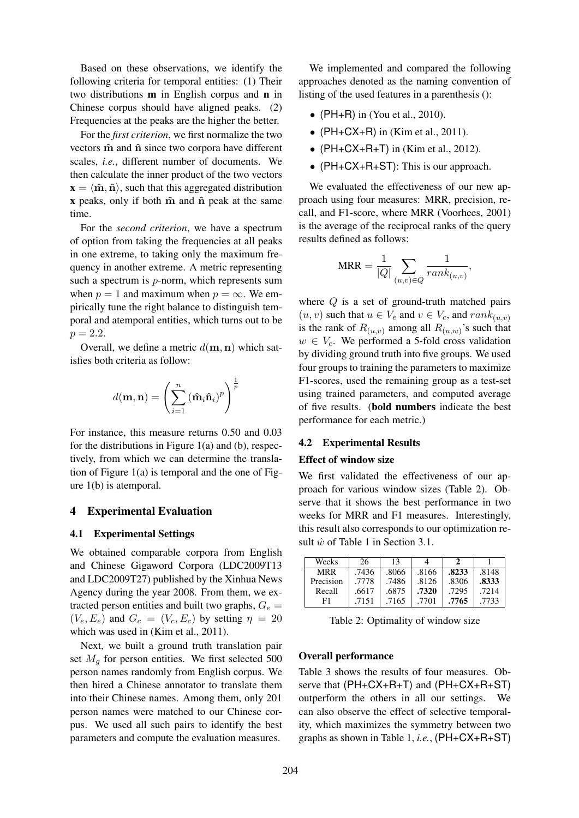Based on these observations, we identify the following criteria for temporal entities: (1) Their two distributions m in English corpus and n in Chinese corpus should have aligned peaks. (2) Frequencies at the peaks are the higher the better.

For the *first criterion*, we first normalize the two vectors  $\hat{\mathbf{m}}$  and  $\hat{\mathbf{n}}$  since two corpora have different scales, *i.e.*, different number of documents. We then calculate the inner product of the two vectors  $\mathbf{x} = \langle \hat{\mathbf{m}}, \hat{\mathbf{n}} \rangle$ , such that this aggregated distribution  $x$  peaks, only if both  $\hat{m}$  and  $\hat{n}$  peak at the same time.

For the *second criterion*, we have a spectrum of option from taking the frequencies at all peaks in one extreme, to taking only the maximum frequency in another extreme. A metric representing such a spectrum is p-norm, which represents sum when  $p = 1$  and maximum when  $p = \infty$ . We empirically tune the right balance to distinguish temporal and atemporal entities, which turns out to be  $p = 2.2.$ 

Overall, we define a metric  $d(\mathbf{m}, \mathbf{n})$  which satisfies both criteria as follow:

$$
d(\mathbf{m}, \mathbf{n}) = \left(\sum_{i=1}^{n} (\hat{\mathbf{m}}_i \hat{\mathbf{n}}_i)^p\right)^{\frac{1}{p}}
$$

For instance, this measure returns 0.50 and 0.03 for the distributions in Figure 1(a) and (b), respectively, from which we can determine the translation of Figure 1(a) is temporal and the one of Figure 1(b) is atemporal.

### 4 Experimental Evaluation

### 4.1 Experimental Settings

We obtained comparable corpora from English and Chinese Gigaword Corpora (LDC2009T13 and LDC2009T27) published by the Xinhua News Agency during the year 2008. From them, we extracted person entities and built two graphs,  $G_e$  =  $(V_e, E_e)$  and  $G_c = (V_c, E_c)$  by setting  $\eta = 20$ which was used in (Kim et al., 2011).

Next, we built a ground truth translation pair set  $M_q$  for person entities. We first selected 500 person names randomly from English corpus. We then hired a Chinese annotator to translate them into their Chinese names. Among them, only 201 person names were matched to our Chinese corpus. We used all such pairs to identify the best parameters and compute the evaluation measures.

We implemented and compared the following approaches denoted as the naming convention of listing of the used features in a parenthesis ():

- ( $PH+R$ ) in (You et al., 2010).
- ( $PH+CX+R$ ) in (Kim et al., 2011).
- ( $PH+CX+R+T$ ) in (Kim et al., 2012).
- (PH+CX+R+ST): This is our approach.

We evaluated the effectiveness of our new approach using four measures: MRR, precision, recall, and F1-score, where MRR (Voorhees, 2001) is the average of the reciprocal ranks of the query results defined as follows:

$$
MRR = \frac{1}{|Q|} \sum_{(u,v)\in Q} \frac{1}{rank_{(u,v)}},
$$

where  $Q$  is a set of ground-truth matched pairs  $(u, v)$  such that  $u \in V_e$  and  $v \in V_c$ , and  $rank_{(u, v)}$ is the rank of  $R_{(u,v)}$  among all  $R_{(u,w)}$ 's such that  $w \in V_c$ . We performed a 5-fold cross validation by dividing ground truth into five groups. We used four groups to training the parameters to maximize F1-scores, used the remaining group as a test-set using trained parameters, and computed average of five results. (bold numbers indicate the best performance for each metric.)

# 4.2 Experimental Results

#### Effect of window size

We first validated the effectiveness of our approach for various window sizes (Table 2). Observe that it shows the best performance in two weeks for MRR and F1 measures. Interestingly, this result also corresponds to our optimization result  $\hat{w}$  of Table 1 in Section 3.1.

| Weeks     | 26    | 13    |       |       |       |
|-----------|-------|-------|-------|-------|-------|
| MRR       | .7436 | .8066 | .8166 | .8233 | .8148 |
| Precision | .7778 | .7486 | .8126 | .8306 | .8333 |
| Recall    | .6617 | .6875 | .7320 | .7295 | .7214 |
| F1        | .7151 | .7165 | .7701 | .7765 | .7733 |

Table 2: Optimality of window size

#### Overall performance

Table 3 shows the results of four measures. Observe that (PH+CX+R+T) and (PH+CX+R+ST) outperform the others in all our settings. We can also observe the effect of selective temporality, which maximizes the symmetry between two graphs as shown in Table 1, *i.e.*, (PH+CX+R+ST)